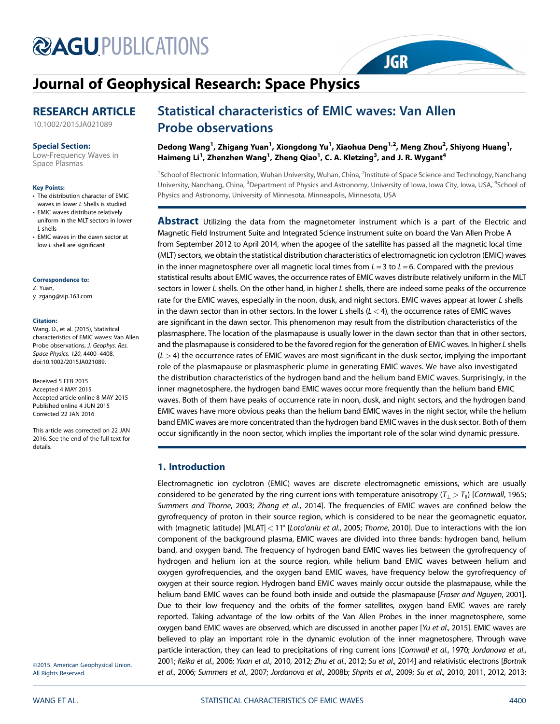# **@AGU[PUBLICATIONS](http://publications.agu.org/journals/)**

# [Journal of Geophysical Research: Space Physics](http://onlinelibrary.wiley.com/journal/10.1002/(ISSN)2169-9402)

# RESEARCH ARTICLE

[10.1002/2015JA021089](http://dx.doi.org/10.1002/2015JA021089)

# Special Section:

[Low-Frequency Waves in](http://onlinelibrary.wiley.com/journal/10.1002/(ISSN)2169-9402/specialsection/PLASMAS) [Space Plasmas](http://onlinelibrary.wiley.com/journal/10.1002/(ISSN)2169-9402/specialsection/PLASMAS)

#### Key Points:

- The distribution character of EMIC waves in lower / Shells is studied
- EMIC waves distribute relatively uniform in the MLT sectors in lower L shells
- EMIC waves in the dawn sector at low L shell are significant

#### Correspondence to:

Z. Yuan, y\_zgang@vip.163.com

#### Citation:

Wang, D., et al. (2015), Statistical characteristics of EMIC waves: Van Allen Probe observations, J. Geophys. Res. Space Physics, 120, 4400–4408, doi:10.1002/2015JA021089.

Received 5 FEB 2015 Accepted 4 MAY 2015 Accepted article online 8 MAY 2015 Published online 4 JUN 2015 Corrected 22 JAN 2016

This article was corrected on 22 JAN 2016. See the end of the full text for details.

# Statistical characteristics of EMIC waves: Van Allen Probe observations

Dedong Wang<sup>1</sup>, Zhigang Yuan<sup>1</sup>, Xiongdong Yu<sup>1</sup>, Xiaohua Deng<sup>1,2</sup>, Meng Zhou<sup>2</sup>, Shiyong Huang<sup>1</sup>, Haimeng Li $^1$ , Zhenzhen Wang $^1$ , Zheng Qiao $^1$ , C. A. Kletzing $^3$ , and J. R. Wygant $^4$ 

<sup>1</sup>School of Electronic Information, Wuhan University, Wuhan, China, <sup>2</sup>Institute of Space Science and Technology, Nanchang University, Nanchang, China, <sup>3</sup>Department of Physics and Astronomy, University of Iowa, Iowa City, Iowa, USA, <sup>4</sup>School of Physics and Astronomy, University of Minnesota, Minneapolis, Minnesota, USA

**JGR** 

**Abstract** Utilizing the data from the magnetometer instrument which is a part of the Electric and Magnetic Field Instrument Suite and Integrated Science instrument suite on board the Van Allen Probe A from September 2012 to April 2014, when the apogee of the satellite has passed all the magnetic local time (MLT) sectors, we obtain the statistical distribution characteristics of electromagnetic ion cyclotron (EMIC) waves in the inner magnetosphere over all magnetic local times from  $L = 3$  to  $L = 6$ . Compared with the previous statistical results about EMIC waves, the occurrence rates of EMIC waves distribute relatively uniform in the MLT sectors in lower L shells. On the other hand, in higher L shells, there are indeed some peaks of the occurrence rate for the EMIC waves, especially in the noon, dusk, and night sectors. EMIC waves appear at lower L shells in the dawn sector than in other sectors. In the lower L shells  $(L < 4)$ , the occurrence rates of EMIC waves are significant in the dawn sector. This phenomenon may result from the distribution characteristics of the plasmasphere. The location of the plasmapause is usually lower in the dawn sector than that in other sectors, and the plasmapause is considered to be the favored region for the generation of EMIC waves. In higher L shells  $(L > 4)$  the occurrence rates of EMIC waves are most significant in the dusk sector, implying the important role of the plasmapause or plasmaspheric plume in generating EMIC waves. We have also investigated the distribution characteristics of the hydrogen band and the helium band EMIC waves. Surprisingly, in the inner magnetosphere, the hydrogen band EMIC waves occur more frequently than the helium band EMIC waves. Both of them have peaks of occurrence rate in noon, dusk, and night sectors, and the hydrogen band EMIC waves have more obvious peaks than the helium band EMIC waves in the night sector, while the helium band EMIC waves are more concentrated than the hydrogen band EMIC waves in the dusk sector. Both of them occur significantly in the noon sector, which implies the important role of the solar wind dynamic pressure.

# 1. Introduction

Electromagnetic ion cyclotron (EMIC) waves are discrete electromagnetic emissions, which are usually considered to be generated by the ring current ions with temperature anisotropy  $(T_1 > T_0)$  [Cornwall, 1965; Summers and Thorne, 2003; Zhang et al., 2014]. The frequencies of EMIC waves are confined below the gyrofrequency of proton in their source region, which is considered to be near the geomagnetic equator, with (magnetic latitude)  $|MLAT| < 11^{\circ}$  [Loto'aniu et al., 2005; Thorne, 2010]. Due to interactions with the ion component of the background plasma, EMIC waves are divided into three bands: hydrogen band, helium band, and oxygen band. The frequency of hydrogen band EMIC waves lies between the gyrofrequency of hydrogen and helium ion at the source region, while helium band EMIC waves between helium and oxygen gyrofrequencies, and the oxygen band EMIC waves, have frequency below the gyrofrequency of oxygen at their source region. Hydrogen band EMIC waves mainly occur outside the plasmapause, while the helium band EMIC waves can be found both inside and outside the plasmapause [Fraser and Nguyen, 2001]. Due to their low frequency and the orbits of the former satellites, oxygen band EMIC waves are rarely reported. Taking advantage of the low orbits of the Van Allen Probes in the inner magnetosphere, some oxygen band EMIC waves are observed, which are discussed in another paper [Yu et al., 2015]. EMIC waves are believed to play an important role in the dynamic evolution of the inner magnetosphere. Through wave particle interaction, they can lead to precipitations of ring current ions [Cornwall et al., 1970; Jordanova et al., 2001; Keika et al., 2006; Yuan et al., 2010, 2012; Zhu et al., 2012; Su et al., 2014] and relativistic electrons [Bortnik et al., 2006; Summers et al., 2007; Jordanova et al., 2008b; Shprits et al., 2009; Su et al., 2010, 2011, 2012, 2013;

©2015. American Geophysical Union. All Rights Reserved.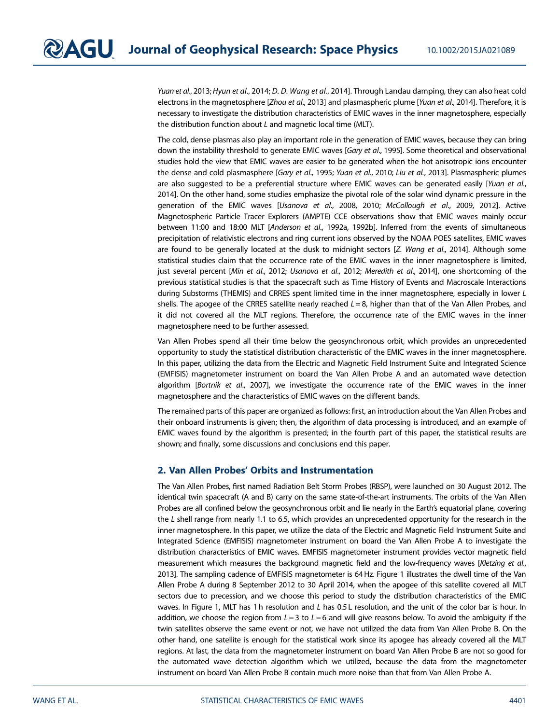Yuan et al., 2013; Hyun et al., 2014; D. D. Wang et al., 2014]. Through Landau damping, they can also heat cold electrons in the magnetosphere [Zhou et al., 2013] and plasmaspheric plume [Yuan et al., 2014]. Therefore, it is necessary to investigate the distribution characteristics of EMIC waves in the inner magnetosphere, especially the distribution function about L and magnetic local time (MLT).

The cold, dense plasmas also play an important role in the generation of EMIC waves, because they can bring down the instability threshold to generate EMIC waves [Gary et al., 1995]. Some theoretical and observational studies hold the view that EMIC waves are easier to be generated when the hot anisotropic ions encounter the dense and cold plasmasphere [Gary et al., 1995; Yuan et al., 2010; Liu et al., 2013]. Plasmaspheric plumes are also suggested to be a preferential structure where EMIC waves can be generated easily [Yuan et al., 2014]. On the other hand, some studies emphasize the pivotal role of the solar wind dynamic pressure in the generation of the EMIC waves [Usanova et al., 2008, 2010; McCollough et al., 2009, 2012]. Active Magnetospheric Particle Tracer Explorers (AMPTE) CCE observations show that EMIC waves mainly occur between 11:00 and 18:00 MLT [Anderson et al., 1992a, 1992b]. Inferred from the events of simultaneous precipitation of relativistic electrons and ring current ions observed by the NOAA POES satellites, EMIC waves are found to be generally located at the dusk to midnight sectors [Z. Wang et al., 2014]. Although some statistical studies claim that the occurrence rate of the EMIC waves in the inner magnetosphere is limited, just several percent [Min et al., 2012; Usanova et al., 2012; Meredith et al., 2014], one shortcoming of the previous statistical studies is that the spacecraft such as Time History of Events and Macroscale Interactions during Substorms (THEMIS) and CRRES spent limited time in the inner magnetosphere, especially in lower L shells. The apogee of the CRRES satellite nearly reached  $L = 8$ , higher than that of the Van Allen Probes, and it did not covered all the MLT regions. Therefore, the occurrence rate of the EMIC waves in the inner magnetosphere need to be further assessed.

Van Allen Probes spend all their time below the geosynchronous orbit, which provides an unprecedented opportunity to study the statistical distribution characteristic of the EMIC waves in the inner magnetosphere. In this paper, utilizing the data from the Electric and Magnetic Field Instrument Suite and Integrated Science (EMFISIS) magnetometer instrument on board the Van Allen Probe A and an automated wave detection algorithm [Bortnik et al., 2007], we investigate the occurrence rate of the EMIC waves in the inner magnetosphere and the characteristics of EMIC waves on the different bands.

The remained parts of this paper are organized as follows: first, an introduction about the Van Allen Probes and their onboard instruments is given; then, the algorithm of data processing is introduced, and an example of EMIC waves found by the algorithm is presented; in the fourth part of this paper, the statistical results are shown; and finally, some discussions and conclusions end this paper.

# 2. Van Allen Probes' Orbits and Instrumentation

The Van Allen Probes, first named Radiation Belt Storm Probes (RBSP), were launched on 30 August 2012. The identical twin spacecraft (A and B) carry on the same state-of-the-art instruments. The orbits of the Van Allen Probes are all confined below the geosynchronous orbit and lie nearly in the Earth's equatorial plane, covering the L shell range from nearly 1.1 to 6.5, which provides an unprecedented opportunity for the research in the inner magnetosphere. In this paper, we utilize the data of the Electric and Magnetic Field Instrument Suite and Integrated Science (EMFISIS) magnetometer instrument on board the Van Allen Probe A to investigate the distribution characteristics of EMIC waves. EMFISIS magnetometer instrument provides vector magnetic field measurement which measures the background magnetic field and the low-frequency waves [Kletzing et al., 2013]. The sampling cadence of EMFISIS magnetometer is 64 Hz. Figure 1 illustrates the dwell time of the Van Allen Probe A during 8 September 2012 to 30 April 2014, when the apogee of this satellite covered all MLT sectors due to precession, and we choose this period to study the distribution characteristics of the EMIC waves. In Figure 1, MLT has 1 h resolution and L has 0.5 L resolution, and the unit of the color bar is hour. In addition, we choose the region from  $L = 3$  to  $L = 6$  and will give reasons below. To avoid the ambiguity if the twin satellites observe the same event or not, we have not utilized the data from Van Allen Probe B. On the other hand, one satellite is enough for the statistical work since its apogee has already covered all the MLT regions. At last, the data from the magnetometer instrument on board Van Allen Probe B are not so good for the automated wave detection algorithm which we utilized, because the data from the magnetometer instrument on board Van Allen Probe B contain much more noise than that from Van Allen Probe A.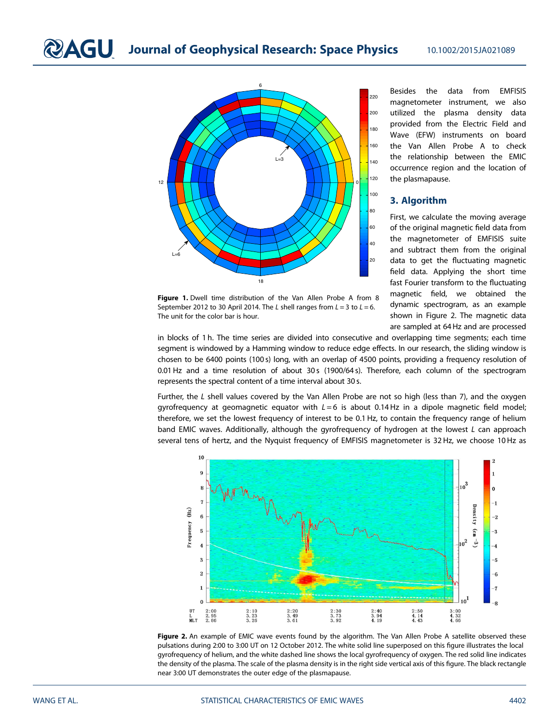**QAGU** Journal of Geophysical Research: Space Physics 10.1002/2015JA021089



Figure 1. Dwell time distribution of the Van Allen Probe A from 8 September 2012 to 30 April 2014. The L shell ranges from  $L = 3$  to  $L = 6$ . The unit for the color bar is hour.

Besides the data from EMFISIS magnetometer instrument, we also utilized the plasma density data provided from the Electric Field and Wave (EFW) instruments on board the Van Allen Probe A to check the relationship between the EMIC occurrence region and the location of the plasmapause.

# 3. Algorithm

First, we calculate the moving average of the original magnetic field data from the magnetometer of EMFISIS suite and subtract them from the original data to get the fluctuating magnetic field data. Applying the short time fast Fourier transform to the fluctuating magnetic field, we obtained the dynamic spectrogram, as an example shown in Figure 2. The magnetic data are sampled at 64 Hz and are processed

in blocks of 1 h. The time series are divided into consecutive and overlapping time segments; each time segment is windowed by a Hamming window to reduce edge effects. In our research, the sliding window is chosen to be 6400 points (100 s) long, with an overlap of 4500 points, providing a frequency resolution of 0.01 Hz and a time resolution of about 30 s (1900/64 s). Therefore, each column of the spectrogram represents the spectral content of a time interval about 30 s.

Further, the L shell values covered by the Van Allen Probe are not so high (less than 7), and the oxygen gyrofrequency at geomagnetic equator with  $L = 6$  is about 0.14 Hz in a dipole magnetic field model; therefore, we set the lowest frequency of interest to be 0.1 Hz, to contain the frequency range of helium band EMIC waves. Additionally, although the gyrofreguency of hydrogen at the lowest L can approach several tens of hertz, and the Nyquist frequency of EMFISIS magnetometer is 32 Hz, we choose 10 Hz as



Figure 2. An example of EMIC wave events found by the algorithm. The Van Allen Probe A satellite observed these pulsations during 2:00 to 3:00 UT on 12 October 2012. The white solid line superposed on this figure illustrates the local gyrofrequency of helium, and the white dashed line shows the local gyrofrequency of oxygen. The red solid line indicates the density of the plasma. The scale of the plasma density is in the right side vertical axis of this figure. The black rectangle near 3:00 UT demonstrates the outer edge of the plasmapause.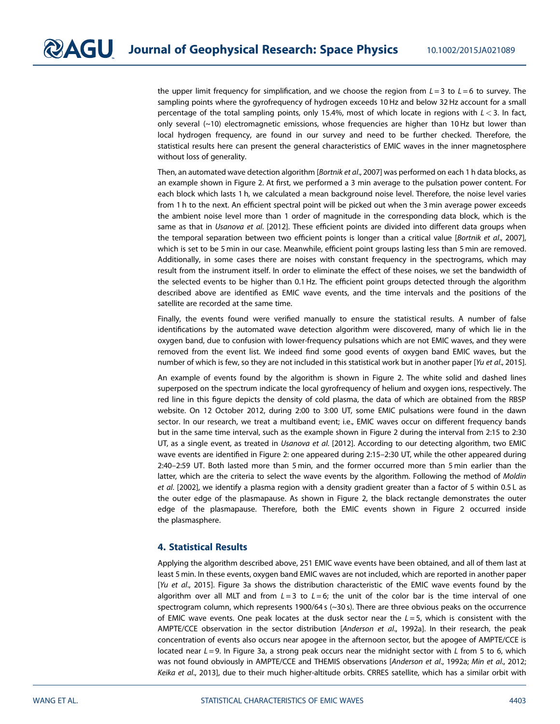the upper limit frequency for simplification, and we choose the region from  $L = 3$  to  $L = 6$  to survey. The sampling points where the gyrofrequency of hydrogen exceeds 10 Hz and below 32 Hz account for a small percentage of the total sampling points, only 15.4%, most of which locate in regions with  $L < 3$ . In fact, only several (~10) electromagnetic emissions, whose frequencies are higher than 10 Hz but lower than local hydrogen frequency, are found in our survey and need to be further checked. Therefore, the statistical results here can present the general characteristics of EMIC waves in the inner magnetosphere without loss of generality.

Then, an automated wave detection algorithm [Bortnik et al., 2007] was performed on each 1 h data blocks, as an example shown in Figure 2. At first, we performed a 3 min average to the pulsation power content. For each block which lasts 1 h, we calculated a mean background noise level. Therefore, the noise level varies from 1 h to the next. An efficient spectral point will be picked out when the 3 min average power exceeds the ambient noise level more than 1 order of magnitude in the corresponding data block, which is the same as that in Usanova et al. [2012]. These efficient points are divided into different data groups when the temporal separation between two efficient points is longer than a critical value [Bortnik et al., 2007], which is set to be 5 min in our case. Meanwhile, efficient point groups lasting less than 5 min are removed. Additionally, in some cases there are noises with constant frequency in the spectrograms, which may result from the instrument itself. In order to eliminate the effect of these noises, we set the bandwidth of the selected events to be higher than 0.1 Hz. The efficient point groups detected through the algorithm described above are identified as EMIC wave events, and the time intervals and the positions of the satellite are recorded at the same time.

Finally, the events found were verified manually to ensure the statistical results. A number of false identifications by the automated wave detection algorithm were discovered, many of which lie in the oxygen band, due to confusion with lower-frequency pulsations which are not EMIC waves, and they were removed from the event list. We indeed find some good events of oxygen band EMIC waves, but the number of which is few, so they are not included in this statistical work but in another paper [Yu et al., 2015].

An example of events found by the algorithm is shown in Figure 2. The white solid and dashed lines superposed on the spectrum indicate the local gyrofrequency of helium and oxygen ions, respectively. The red line in this figure depicts the density of cold plasma, the data of which are obtained from the RBSP website. On 12 October 2012, during 2:00 to 3:00 UT, some EMIC pulsations were found in the dawn sector. In our research, we treat a multiband event; i.e., EMIC waves occur on different frequency bands but in the same time interval, such as the example shown in Figure 2 during the interval from 2:15 to 2:30 UT, as a single event, as treated in *Usanova et al.* [2012]. According to our detecting algorithm, two EMIC wave events are identified in Figure 2: one appeared during 2:15–2:30 UT, while the other appeared during 2:40–2:59 UT. Both lasted more than 5 min, and the former occurred more than 5 min earlier than the latter, which are the criteria to select the wave events by the algorithm. Following the method of Moldin et al. [2002], we identify a plasma region with a density gradient greater than a factor of 5 within 0.5 L as the outer edge of the plasmapause. As shown in Figure 2, the black rectangle demonstrates the outer edge of the plasmapause. Therefore, both the EMIC events shown in Figure 2 occurred inside the plasmasphere.

## 4. Statistical Results

Applying the algorithm described above, 251 EMIC wave events have been obtained, and all of them last at least 5 min. In these events, oxygen band EMIC waves are not included, which are reported in another paper [Yu et al., 2015]. Figure 3a shows the distribution characteristic of the EMIC wave events found by the algorithm over all MLT and from  $L = 3$  to  $L = 6$ ; the unit of the color bar is the time interval of one spectrogram column, which represents 1900/64 s (~30 s). There are three obvious peaks on the occurrence of EMIC wave events. One peak locates at the dusk sector near the  $L = 5$ , which is consistent with the AMPTE/CCE observation in the sector distribution [Anderson et al., 1992a]. In their research, the peak concentration of events also occurs near apogee in the afternoon sector, but the apogee of AMPTE/CCE is located near  $L = 9$ . In Figure 3a, a strong peak occurs near the midnight sector with L from 5 to 6, which was not found obviously in AMPTE/CCE and THEMIS observations [Anderson et al., 1992a; Min et al., 2012; Keika et al., 2013], due to their much higher-altitude orbits. CRRES satellite, which has a similar orbit with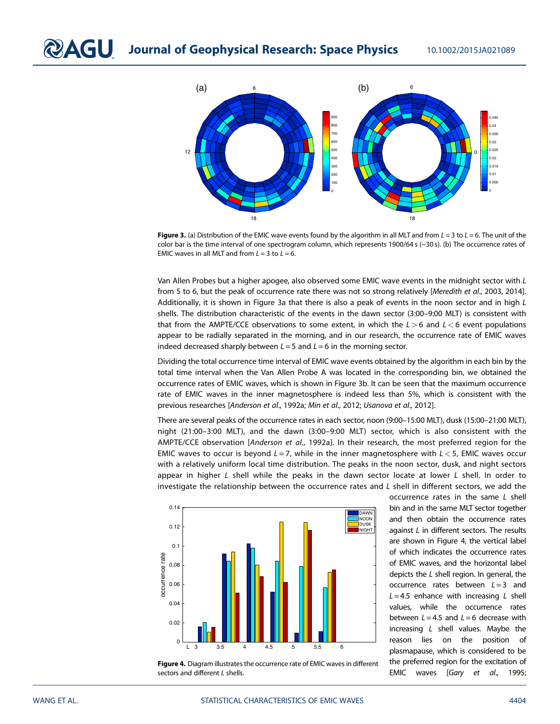

Figure 3. (a) Distribution of the EMIC wave events found by the algorithm in all MLT and from  $L = 3$  to  $L = 6$ . The unit of the color bar is the time interval of one spectrogram column, which represents 1900/64 s  $(\sim 30 \text{ s})$ . (b) The occurrence rates of EMIC waves in all MLT and from  $L = 3$  to  $L = 6$ .

Van Allen Probes but a higher apogee, also observed some EMIC wave events in the midnight sector with L from 5 to 6, but the peak of occurrence rate there was not so strong relatively [Meredith et al., 2003, 2014]. Additionally, it is shown in Figure 3a that there is also a peak of events in the noon sector and in high  $L$ shells. The distribution characteristic of the events in the dawn sector (3:00–9:00 MLT) is consistent with that from the AMPTE/CCE observations to some extent, in which the  $L > 6$  and  $L < 6$  event populations appear to be radially separated in the morning, and in our research, the occurrence rate of EMIC waves indeed decreased sharply between  $L = 5$  and  $L = 6$  in the morning sector.

Dividing the total occurrence time interval of EMIC wave events obtained by the algorithm in each bin by the total time interval when the Van Allen Probe A was located in the corresponding bin, we obtained the occurrence rates of EMIC waves, which is shown in Figure 3b. It can be seen that the maximum occurrence rate of EMIC waves in the inner magnetosphere is indeed less than 5%, which is consistent with the previous researches [Anderson et al., 1992a; Min et al., 2012; Usanova et al., 2012].

There are several peaks of the occurrence rates in each sector, noon (9:00–15:00 MLT), dusk (15:00–21:00 MLT), night (21:00–3:00 MLT), and the dawn (3:00–9:00 MLT) sector, which is also consistent with the AMPTE/CCE observation [Anderson et al., 1992a]. In their research, the most preferred region for the EMIC waves to occur is beyond  $L = 7$ , while in the inner magnetosphere with  $L < 5$ , EMIC waves occur with a relatively uniform local time distribution. The peaks in the noon sector, dusk, and night sectors appear in higher L shell while the peaks in the dawn sector locate at lower L shell. In order to investigate the relationship between the occurrence rates and  $L$  shell in different sectors, we add the



Figure 4. Diagram illustrates the occurrence rate of EMIC waves in different sectors and different L shells.

occurrence rates in the same L shell bin and in the same MLT sector together and then obtain the occurrence rates against L in different sectors. The results are shown in Figure 4, the vertical label of which indicates the occurrence rates of EMIC waves, and the horizontal label depicts the L shell region. In general, the occurrence rates between  $L = 3$  and  $L = 4.5$  enhance with increasing L shell values, while the occurrence rates between  $L = 4.5$  and  $L = 6$  decrease with increasing L shell values. Maybe the reason lies on the position of plasmapause, which is considered to be the preferred region for the excitation of EMIC waves [Gary et al., 1995;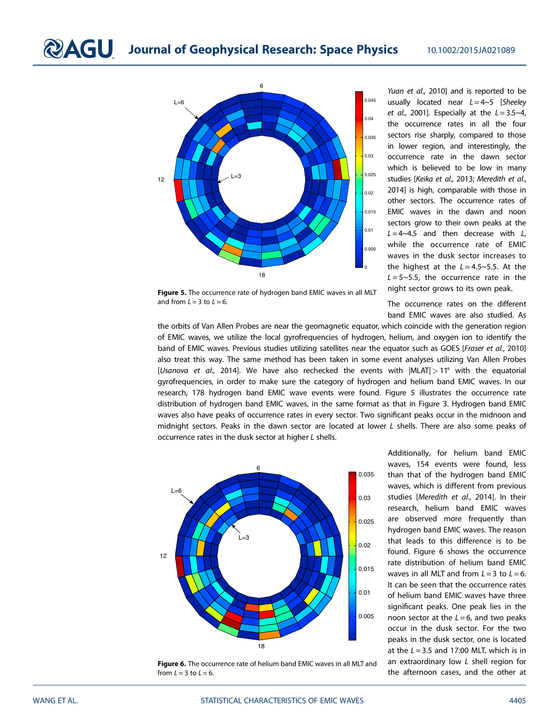



Yuan et al., 2010] and is reported to be usually located near  $L = 4 - 5$  [Sheeley et al., 2001]. Especially at the  $L = 3.5 - 4$ , the occurrence rates in all the four sectors rise sharply, compared to those in lower region, and interestingly, the occurrence rate in the dawn sector which is believed to be low in many studies [Keika et al., 2013; Meredith et al., 2014] is high, comparable with those in other sectors. The occurrence rates of EMIC waves in the dawn and noon sectors grow to their own peaks at the  $L = 4 - 4.5$  and then decrease with L, while the occurrence rate of EMIC waves in the dusk sector increases to the highest at the  $L = 4.5 \sim 5.5$ . At the  $L = 5 - 5.5$ , the occurrence rate in the night sector grows to its own peak.

The occurrence rates on the different band EMIC waves are also studied. As

Figure 5. The occurrence rate of hydrogen band EMIC waves in all MLT and from  $l = 3$  to  $l = 6$ .

the orbits of Van Allen Probes are near the geomagnetic equator, which coincide with the generation region of EMIC waves, we utilize the local gyrofrequencies of hydrogen, helium, and oxygen ion to identify the band of EMIC waves. Previous studies utilizing satellites near the equator such as GOES [Fraser et al., 2010] also treat this way. The same method has been taken in some event analyses utilizing Van Allen Probes [Usanova et al., 2014]. We have also rechecked the events with  $|MLAT| > 11^\circ$  with the equatorial gyrofrequencies, in order to make sure the category of hydrogen and helium band EMIC waves. In our research, 178 hydrogen band EMIC wave events were found. Figure 5 illustrates the occurrence rate distribution of hydrogen band EMIC waves, in the same format as that in Figure 3. Hydrogen band EMIC waves also have peaks of occurrence rates in every sector. Two significant peaks occur in the midnoon and midnight sectors. Peaks in the dawn sector are located at lower L shells. There are also some peaks of



occurrence rates in the dusk sector at higher L shells.

Figure 6. The occurrence rate of helium band EMIC waves in all MLT and from  $L = 3$  to  $L = 6$ .

Additionally, for helium band EMIC waves, 154 events were found, less than that of the hydrogen band EMIC waves, which is different from previous studies [Meredith et al., 2014]. In their research, helium band EMIC waves are observed more frequently than hydrogen band EMIC waves. The reason that leads to this difference is to be found. Figure 6 shows the occurrence rate distribution of helium band EMIC waves in all MLT and from  $L = 3$  to  $L = 6$ . It can be seen that the occurrence rates of helium band EMIC waves have three significant peaks. One peak lies in the noon sector at the  $L = 6$ , and two peaks occur in the dusk sector. For the two peaks in the dusk sector, one is located at the  $L = 3.5$  and 17:00 MLT, which is in an extraordinary low L shell region for the afternoon cases, and the other at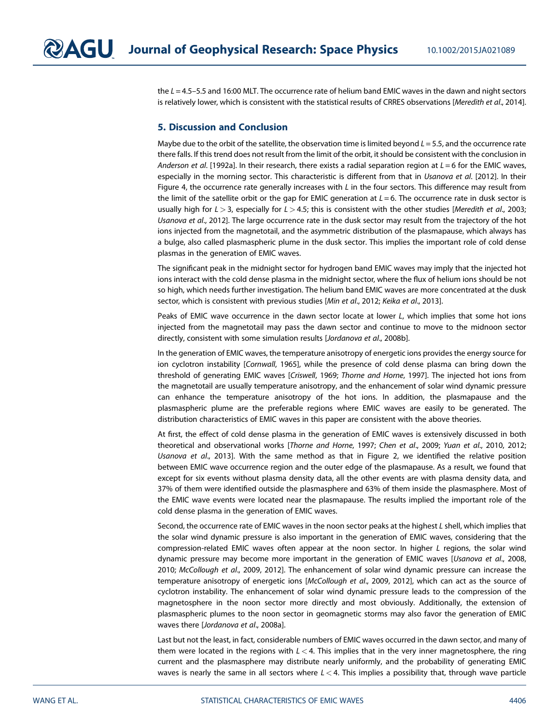the  $L = 4.5 - 5.5$  and 16:00 MLT. The occurrence rate of helium band EMIC waves in the dawn and night sectors is relatively lower, which is consistent with the statistical results of CRRES observations [Meredith et al., 2014].

## 5. Discussion and Conclusion

Maybe due to the orbit of the satellite, the observation time is limited beyond  $L = 5.5$ , and the occurrence rate there falls. If this trend does not result from the limit of the orbit, it should be consistent with the conclusion in Anderson et al. [1992a]. In their research, there exists a radial separation region at  $L = 6$  for the EMIC waves, especially in the morning sector. This characteristic is different from that in Usanova et al. [2012]. In their Figure 4, the occurrence rate generally increases with  $L$  in the four sectors. This difference may result from the limit of the satellite orbit or the gap for EMIC generation at  $L = 6$ . The occurrence rate in dusk sector is usually high for  $L > 3$ , especially for  $L > 4.5$ ; this is consistent with the other studies [Meredith et al., 2003; Usanova et al., 2012]. The large occurrence rate in the dusk sector may result from the trajectory of the hot ions injected from the magnetotail, and the asymmetric distribution of the plasmapause, which always has a bulge, also called plasmaspheric plume in the dusk sector. This implies the important role of cold dense plasmas in the generation of EMIC waves.

The significant peak in the midnight sector for hydrogen band EMIC waves may imply that the injected hot ions interact with the cold dense plasma in the midnight sector, where the flux of helium ions should be not so high, which needs further investigation. The helium band EMIC waves are more concentrated at the dusk sector, which is consistent with previous studies [Min et al., 2012; Keika et al., 2013].

Peaks of EMIC wave occurrence in the dawn sector locate at lower L, which implies that some hot ions injected from the magnetotail may pass the dawn sector and continue to move to the midnoon sector directly, consistent with some simulation results [Jordanova et al., 2008b].

In the generation of EMIC waves, the temperature anisotropy of energetic ions provides the energy source for ion cyclotron instability [Cornwall, 1965], while the presence of cold dense plasma can bring down the threshold of generating EMIC waves [Criswell, 1969; Thorne and Horne, 1997]. The injected hot ions from the magnetotail are usually temperature anisotropy, and the enhancement of solar wind dynamic pressure can enhance the temperature anisotropy of the hot ions. In addition, the plasmapause and the plasmaspheric plume are the preferable regions where EMIC waves are easily to be generated. The distribution characteristics of EMIC waves in this paper are consistent with the above theories.

At first, the effect of cold dense plasma in the generation of EMIC waves is extensively discussed in both theoretical and observational works [Thorne and Horne, 1997; Chen et al., 2009; Yuan et al., 2010, 2012; Usanova et al., 2013]. With the same method as that in Figure 2, we identified the relative position between EMIC wave occurrence region and the outer edge of the plasmapause. As a result, we found that except for six events without plasma density data, all the other events are with plasma density data, and 37% of them were identified outside the plasmasphere and 63% of them inside the plasmasphere. Most of the EMIC wave events were located near the plasmapause. The results implied the important role of the cold dense plasma in the generation of EMIC waves.

Second, the occurrence rate of EMIC waves in the noon sector peaks at the highest L shell, which implies that the solar wind dynamic pressure is also important in the generation of EMIC waves, considering that the compression-related EMIC waves often appear at the noon sector. In higher L regions, the solar wind dynamic pressure may become more important in the generation of EMIC waves [Usanova et al., 2008, 2010; McCollough et al., 2009, 2012]. The enhancement of solar wind dynamic pressure can increase the temperature anisotropy of energetic ions [McCollough et al., 2009, 2012], which can act as the source of cyclotron instability. The enhancement of solar wind dynamic pressure leads to the compression of the magnetosphere in the noon sector more directly and most obviously. Additionally, the extension of plasmaspheric plumes to the noon sector in geomagnetic storms may also favor the generation of EMIC waves there [Jordanova et al., 2008a].

Last but not the least, in fact, considerable numbers of EMIC waves occurred in the dawn sector, and many of them were located in the regions with  $L < 4$ . This implies that in the very inner magnetosphere, the ring current and the plasmasphere may distribute nearly uniformly, and the probability of generating EMIC waves is nearly the same in all sectors where  $L < 4$ . This implies a possibility that, through wave particle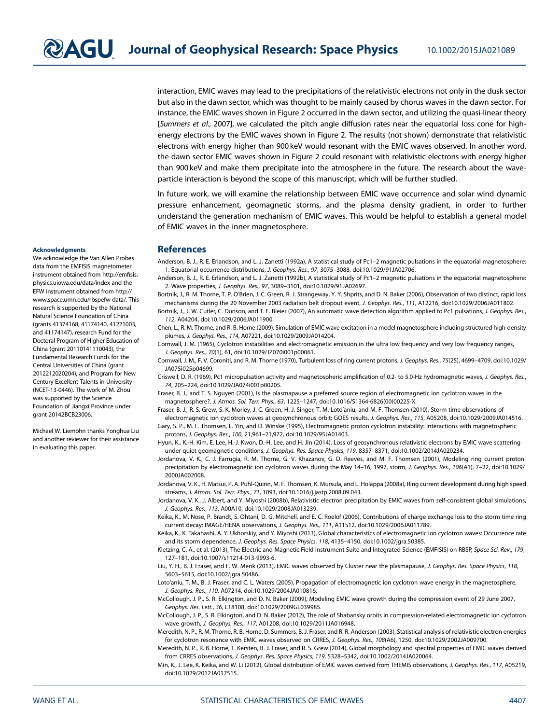interaction, EMIC waves may lead to the precipitations of the relativistic electrons not only in the dusk sector but also in the dawn sector, which was thought to be mainly caused by chorus waves in the dawn sector. For instance, the EMIC waves shown in Figure 2 occurred in the dawn sector, and utilizing the quasi-linear theory [Summers et al., 2007], we calculated the pitch angle diffusion rates near the equatorial loss cone for highenergy electrons by the EMIC waves shown in Figure 2. The results (not shown) demonstrate that relativistic electrons with energy higher than 900 keV would resonant with the EMIC waves observed. In another word, the dawn sector EMIC waves shown in Figure 2 could resonant with relativistic electrons with energy higher than 900 keV and make them precipitate into the atmosphere in the future. The research about the waveparticle interaction is beyond the scope of this manuscript, which will be further studied.

In future work, we will examine the relationship between EMIC wave occurrence and solar wind dynamic pressure enhancement, geomagnetic storms, and the plasma density gradient, in order to further understand the generation mechanism of EMIC waves. This would be helpful to establish a general model of EMIC waves in the inner magnetosphere.

### References

Anderson, B. J., R. E. Erlandson, and L. J. Zanetti (1992a), A statistical study of Pc1–2 magnetic pulsations in the equatorial magnetosphere: 1. Equatorial occurrence distributions, J. Geophys. Res., 97, 3075–3088, doi[:10.1029/91JA02706](http://dx.doi.org/10.1029/91JA02706).

Anderson, B. J., R. E. Erlandson, and L. J. Zanetti (1992b), A statistical study of Pc1–2 magnetic pulsations in the equatorial magnetosphere: 2. Wave properties, J. Geophys. Res., 97, 3089–3101, doi[:10.1029/91JA02697](http://dx.doi.org/10.1029/91JA02697).

Bortnik, J., R. M. Thorne, T. P. O'Brien, J. C. Green, R. J. Strangeway, Y. Y. Shprits, and D. N. Baker (2006), Observation of two distinct, rapid loss mechanisms during the 20 November 2003 radiation belt dropout event, J. Geophys. Res., 111, A12216, doi:[10.1029/2006JA011802](http://dx.doi.org/10.1029/2006JA011802).

Bortnik, J., J. W. Cutler, C. Dunson, and T. E. Bleier (2007), An automatic wave detection algorithm applied to Pc1 pulsations, J. Geophys. Res., 112, A04204, doi[:10.1029/2006JA011900.](http://dx.doi.org/10.1029/2006JA011900)

Chen, L., R. M. Thorne, and R. B. Horne (2009), Simulation of EMIC wave excitation in a model magnetosphere including structured high-density plumes, J. Geophys. Res., 114, A07221, doi[:10.1029/2009JA014204.](http://dx.doi.org/10.1029/2009JA014204)

Cornwall, J. M. (1965), Cyclotron instabilities and electromagnetic emission in the ultra low frequency and very low frequency ranges, J. Geophys. Res., 70(1), 61, doi:[10.1029/JZ070i001p00061](http://dx.doi.org/10.1029/JZ070i001p00061).

Cornwall, J. M., F. V. Coroniti, and R. M. Thorne (1970), Turbulent loss of ring current protons, J. Geophys. Res., 75(25), 4699–4709, doi[:10.1029/](http://dx.doi.org/10.1029/JA075i025p04699) [JA075i025p04699](http://dx.doi.org/10.1029/JA075i025p04699).

Criswell, D. R. (1969), Pc1 micropulsation activity and magnetospheric amplification of 0.2- to 5.0-Hz hydromagnetic waves, J. Geophys. Res., 74, 205–224, doi:[10.1029/JA074i001p00205.](http://dx.doi.org/10.1029/JA074i001p00205)

Fraser, B. J., and T. S. Nguyen (2001), Is the plasmapause a preferred source region of electromagnetic ion cyclotron waves in the magnetosphere?, J. Atmos. Sol. Terr. Phys., 63, 1225–1247, doi:[10.1016/S1364-6826\(00\)00225-X](http://dx.doi.org/10.1016/S1364-6826(00)00225-X).

Fraser, B. J., R. S. Grew, S. K. Morley, J. C. Green, H. J. Singer, T. M. Loto'aniu, and M. F. Thomsen (2010), Storm time observations of electromagnetic ion cyclotron waves at geosynchronous orbit: GOES results, J. Geophys. Res., 115, A05208, doi:[10.1029/2009JA014516](http://dx.doi.org/10.1029/2009JA014516).

Gary, S. P., M. F. Thomsen, L. Yin, and D. Winske (1995), Electromagnetic proton cyclotron instability: Interactions with magnetospheric protons, J. Geophys. Res., 100, 21,961–21,972, doi[:10.1029/95JA01403.](http://dx.doi.org/10.1029/95JA01403)

Hyun, K., K.-H. Kim, E. Lee, H.-J. Kwon, D.-H. Lee, and H. Jin (2014), Loss of geosynchronous relativistic electrons by EMIC wave scattering under quiet geomagnetic conditions, J. Geophys. Res. Space Physics, 119, 8357–8371, doi[:10.1002/2014JA020234](http://dx.doi.org/10.1002/2014JA020234).

Jordanova, V. K., C. J. Farrugia, R. M. Thorne, G. V. Khazanov, G. D. Reeves, and M. F. Thomsen (2001), Modeling ring current proton precipitation by electromagnetic ion cyclotron waves during the May 14-16, 1997, storm, J. Geophys. Res., 106(A1), 7-22, doi:[10.1029/](http://dx.doi.org/10.1029/2000JA002008) [2000JA002008](http://dx.doi.org/10.1029/2000JA002008).

Jordanova, V. K., H. Matsui, P. A. Puhl-Quinn, M. F. Thomsen, K. Mursula, and L. Holappa (2008a), Ring current development during high speed streams, J. Atmos. Sol. Terr. Phys., 71, 1093, doi:[10.1016/j.jastp.2008.09.043](http://dx.doi.org/10.1016/j.jastp.2008.09.043).

Jordanova, V. K., J. Albert, and Y. Miyoshi (2008b), Relativistic electron precipitation by EMIC waves from self-consistent global simulations, J. Geophys. Res., 113, A00A10, doi[:10.1029/2008JA013239](http://dx.doi.org/10.1029/2008JA013239).

Keika, K., M. Nose, P. Brandt, S. Ohtani, D. G. Mitchell, and E. C. Roelof (2006), Contributions of charge exchange loss to the storm time ring current decay: IMAGE/HENA observations, J. Geophys. Res., 111, A11S12, doi[:10.1029/2006JA011789.](http://dx.doi.org/10.1029/2006JA011789)

Keika, K., K. Takahashi, A. Y. Ukhorskiy, and Y. Miyoshi (2013), Global characteristics of electromagnetic ion cyclotron waves: Occurrence rate and its storm dependence, J. Geophys. Res. Space Physics, 118, 4135–4150, doi[:10.1002/jgra.50385.](http://dx.doi.org/10.1002/jgra.50385)

Kletzing, C. A., et al. (2013), The Electric and Magnetic Field Instrument Suite and Integrated Science (EMFISIS) on RBSP, Space Sci. Rev., 179, 127–181, doi:[10.1007/s11214-013-9993-6](http://dx.doi.org/10.1007/s11214-013-9993-6).

Liu, Y. H., B. J. Fraser, and F. W. Menk (2013), EMIC waves observed by Cluster near the plasmapause, J. Geophys. Res. Space Physics, 118, 5603–5615, doi:[10.1002/jgra.50486](http://dx.doi.org/10.1002/jgra.50486).

Loto'aniu, T. M., B. J. Fraser, and C. L. Waters (2005), Propagation of electromagnetic ion cyclotron wave energy in the magnetosphere, J. Geophys. Res., 110, A07214, doi:[10.1029/2004JA010816](http://dx.doi.org/10.1029/2004JA010816).

McCollough, J. P., S. R. Elkington, and D. N. Baker (2009), Modeling EMIC wave growth during the compression event of 29 June 2007, Geophys. Res. Lett., 36, L18108, doi[:10.1029/2009GL039985](http://dx.doi.org/10.1029/2009GL039985).

McCollough, J. P., S. R. Elkington, and D. N. Baker (2012), The role of Shabansky orbits in compression-related electromagnetic ion cyclotron wave growth, J. Geophys. Res., 117, A01208, doi[:10.1029/2011JA016948](http://dx.doi.org/10.1029/2011JA016948).

Meredith, N. P., R. M. Thorne, R. B. Horne, D. Summers, B. J. Fraser, and R. R. Anderson (2003), Statistical analysis of relativistic electron energies for cyclotron resonance with EMIC waves observed on CRRES, J. Geophys. Res., 108(A6), 1250, doi[:10.1029/2002JA009700.](http://dx.doi.org/10.1029/2002JA009700)

Meredith, N. P., R. B. Horne, T. Kersten, B. J. Fraser, and R. S. Grew (2014), Global morphology and spectral properties of EMIC waves derived from CRRES observations, J. Geophys. Res. Space Physics, 119, 5328–5342, doi:[10.1002/2014JA020064](http://dx.doi.org/10.1002/2014JA020064).

Min, K., J. Lee, K. Keika, and W. Li (2012), Global distribution of EMIC waves derived from THEMIS observations, J. Geophys. Res., 117, A05219, doi[:10.1029/2012JA017515](http://dx.doi.org/10.1029/2012JA017515).

#### Acknowledgments

We acknowledge the Van Allen Probes data from the EMFISIS magnetometer instrument obtained from [http://em](http://emfisis.physics.uiowa.edu/data/index)fisis. [physics.uiowa.edu/data/index](http://emfisis.physics.uiowa.edu/data/index) and the EFW instrument obtained from [http://](http://www.space.umn.edu/rbspefw-data/) [www.space.umn.edu/rbspefw-data/.](http://www.space.umn.edu/rbspefw-data/) This research is supported by the National Natural Science Foundation of China (grants 41374168, 41174140, 41221003, and 41174147), research Fund for the Doctoral Program of Higher Education of China (grant 20110141110043), the Fundamental Research Funds for the Central Universities of China (grant 2012212020204), and Program for New Century Excellent Talents in University (NCET-13-0446). The work of M. Zhou was supported by the Science Foundation of Jiangxi Province under grant 20142BCB23006.

Michael W. Liemohn thanks Yonghua Liu and another reviewer for their assistance in evaluating this paper.